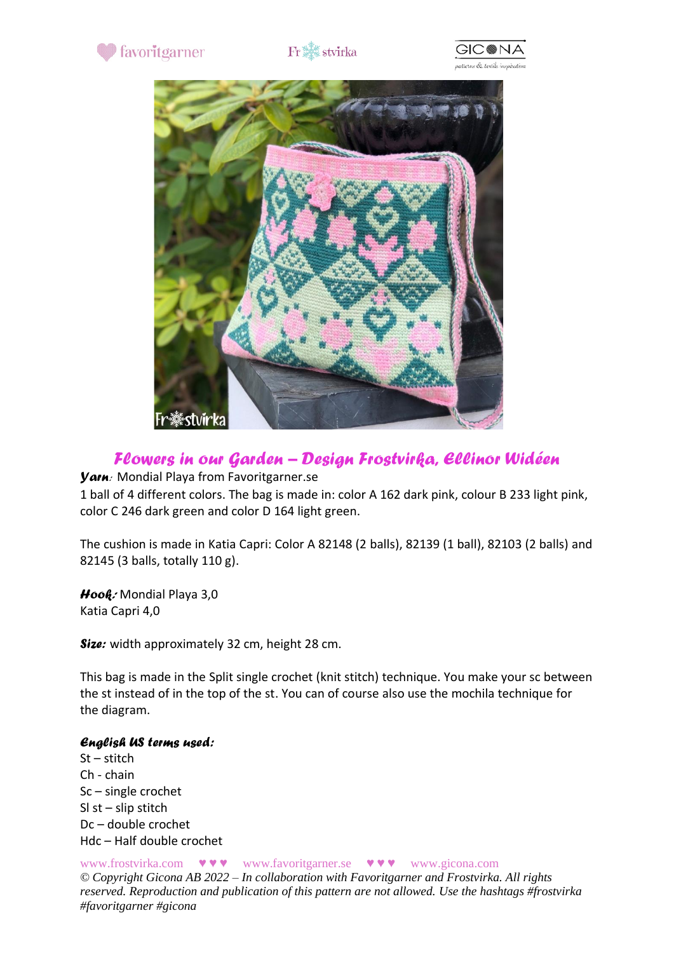

# $\operatorname{Fr}^{\text{max}}_{\text{max}}$ stvirka







## *Flowers in our Garden – Design Frostvirka, Ellinor Widéen*

*Yarn:* Mondial Playa from Favoritgarner.se

1 ball of 4 different colors. The bag is made in: color A 162 dark pink, colour B 233 light pink, color C 246 dark green and color D 164 light green.

The cushion is made in Katia Capri: Color A 82148 (2 balls), 82139 (1 ball), 82103 (2 balls) and 82145 (3 balls, totally 110 g).

*Hook:* Mondial Playa 3,0 Katia Capri 4,0

*Size:* width approximately 32 cm, height 28 cm.

This bag is made in the Split single crochet (knit stitch) technique. You make your sc between the st instead of in the top of the st. You can of course also use the mochila technique for the diagram.

### *English US terms used:*

St – stitch Ch - chain Sc – single crochet Sl st – slip stitch Dc – double crochet Hdc – Half double crochet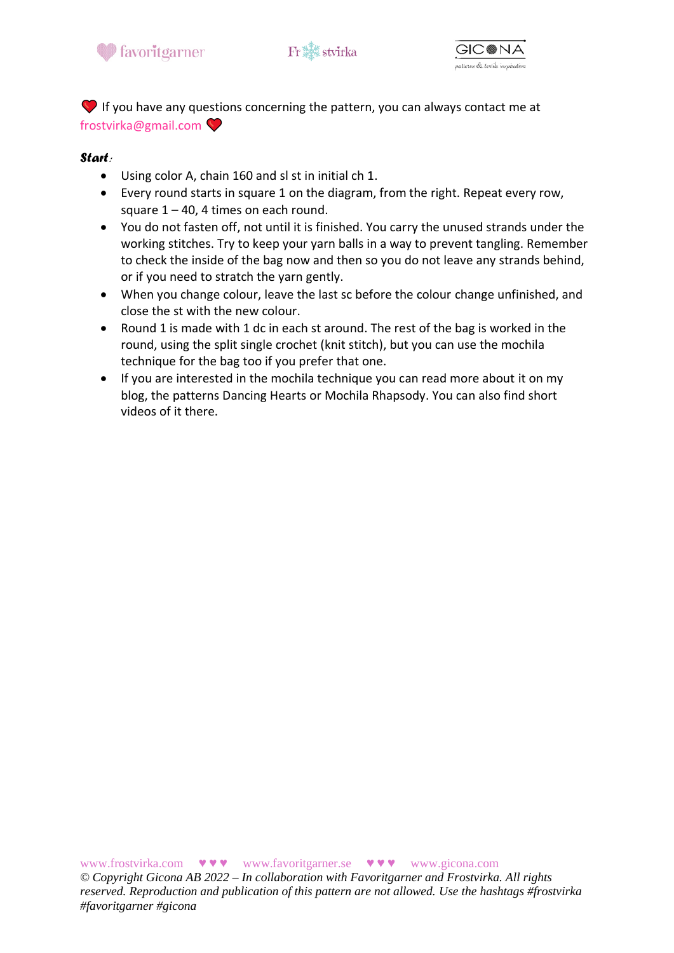





 $\blacktriangleright$  If you have any questions concerning the pattern, you can always contact me at frostvirka@gmail.com

### *Start:*

- Using color A, chain 160 and sl st in initial ch 1.
- Every round starts in square 1 on the diagram, from the right. Repeat every row, square  $1 - 40$ , 4 times on each round.
- You do not fasten off, not until it is finished. You carry the unused strands under the working stitches. Try to keep your yarn balls in a way to prevent tangling. Remember to check the inside of the bag now and then so you do not leave any strands behind, or if you need to stratch the yarn gently.
- When you change colour, leave the last sc before the colour change unfinished, and close the st with the new colour.
- Round 1 is made with 1 dc in each st around. The rest of the bag is worked in the round, using the split single crochet (knit stitch), but you can use the mochila technique for the bag too if you prefer that one.
- If you are interested in the mochila technique you can read more about it on my blog, the patterns Dancing Hearts or Mochila Rhapsody. You can also find short videos of it there.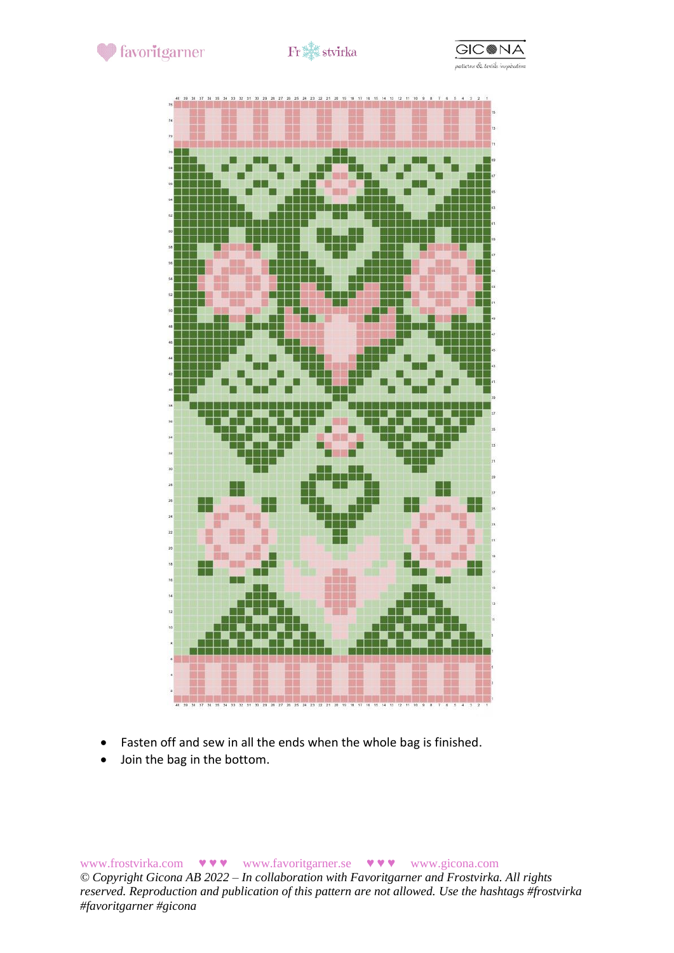





- Fasten off and sew in all the ends when the whole bag is finished.
- Join the bag in the bottom.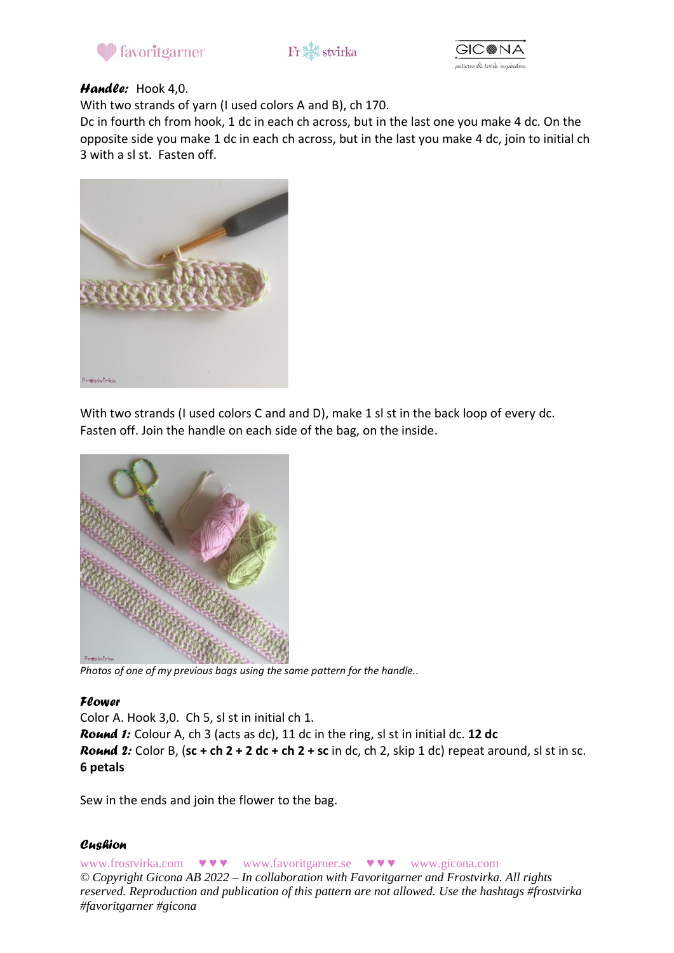





### *Handle:* Hook 4,0.

With two strands of yarn (I used colors A and B), ch 170.

Dc in fourth ch from hook, 1 dc in each ch across, but in the last one you make 4 dc. On the opposite side you make 1 dc in each ch across, but in the last you make 4 dc, join to initial ch 3 with a sl st. Fasten off.



With two strands (I used colors C and and D), make 1 sl st in the back loop of every dc. Fasten off. Join the handle on each side of the bag, on the inside.



*Photos of one of my previous bags using the same pattern for the handle..*

### *Flower*

Color A. Hook 3,0. Ch 5, sl st in initial ch 1.

*Round 1:* Colour A, ch 3 (acts as dc), 11 dc in the ring, sl st in initial dc. **12 dc** *Round* 2: Color B, (sc + ch  $2 + 2$  dc + ch  $2 +$  sc in dc, ch 2, skip 1 dc) repeat around, sl st in sc. **6 petals**

Sew in the ends and join the flower to the bag.

### *Cushion*